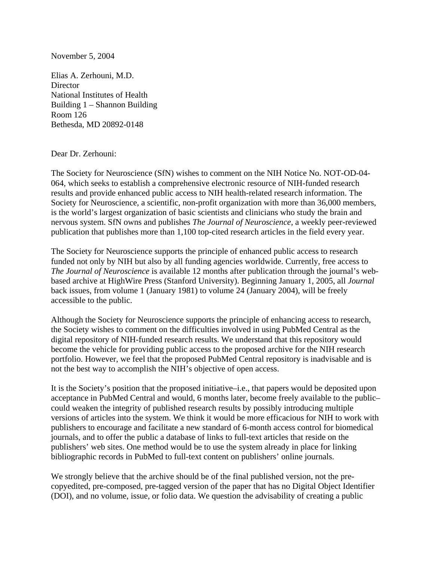## November 5, 2004

Elias A. Zerhouni, M.D. **Director** National Institutes of Health Building 1 – Shannon Building Room 126 Bethesda, MD 20892-0148

## Dear Dr. Zerhouni:

The Society for Neuroscience (SfN) wishes to comment on the NIH Notice No. NOT-OD-04- 064, which seeks to establish a comprehensive electronic resource of NIH-funded research results and provide enhanced public access to NIH health-related research information. The Society for Neuroscience, a scientific, non-profit organization with more than 36,000 members, is the world's largest organization of basic scientists and clinicians who study the brain and nervous system. SfN owns and publishes *The Journal of Neuroscience,* a weekly peer-reviewed publication that publishes more than 1,100 top-cited research articles in the field every year.

The Society for Neuroscience supports the principle of enhanced public access to research funded not only by NIH but also by all funding agencies worldwide. Currently, free access to *The Journal of Neuroscience* is available 12 months after publication through the journal's webbased archive at HighWire Press (Stanford University). Beginning January 1, 2005, all *Journal* back issues, from volume 1 (January 1981) to volume 24 (January 2004), will be freely accessible to the public.

Although the Society for Neuroscience supports the principle of enhancing access to research, the Society wishes to comment on the difficulties involved in using PubMed Central as the digital repository of NIH-funded research results. We understand that this repository would become the vehicle for providing public access to the proposed archive for the NIH research portfolio. However, we feel that the proposed PubMed Central repository is inadvisable and is not the best way to accomplish the NIH's objective of open access.

It is the Society's position that the proposed initiative–i.e., that papers would be deposited upon acceptance in PubMed Central and would, 6 months later, become freely available to the public– could weaken the integrity of published research results by possibly introducing multiple versions of articles into the system. We think it would be more efficacious for NIH to work with publishers to encourage and facilitate a new standard of 6-month access control for biomedical journals, and to offer the public a database of links to full-text articles that reside on the publishers' web sites. One method would be to use the system already in place for linking bibliographic records in PubMed to full-text content on publishers' online journals.

We strongly believe that the archive should be of the final published version, not the precopyedited, pre-composed, pre-tagged version of the paper that has no Digital Object Identifier (DOI), and no volume, issue, or folio data. We question the advisability of creating a public